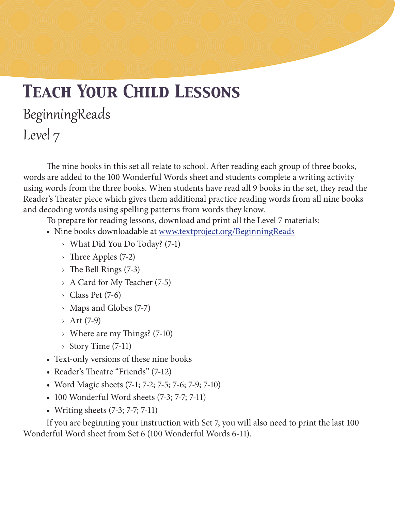# *Teach Your Child Lessons* BeginningReads Level 7

The nine books in this set all relate to school. After reading each group of three books, words are added to the 100 Wonderful Words sheet and students complete a writing activity using words from the three books. When students have read all 9 books in the set, they read the Reader's Theater piece which gives them additional practice reading words from all nine books and decoding words using spelling patterns from words they know.

To prepare for reading lessons, download and print all the Level 7 materials:

- Nine books downloadable at www.textproject.org/BeginningReads
	- › What Did You Do Today? (7-1)
	- › Three Apples (7-2)
	- $\rightarrow$  The Bell Rings (7-3)
	- › A Card for My Teacher (7-5)
	- $\rightarrow$  Class Pet (7-6)
	- › Maps and Globes (7-7)
	- $\rightarrow$  Art (7-9)
	- › Where are my Things? (7-10)
	- › Story Time (7-11)
- Text-only versions of these nine books
- Reader's Theatre "Friends" (7-12)
- Word Magic sheets (7-1; 7-2; 7-5; 7-6; 7-9; 7-10)
- 100 Wonderful Word sheets (7-3; 7-7; 7-11)
- Writing sheets (7-3; 7-7; 7-11)

If you are beginning your instruction with Set 7, you will also need to print the last 100 Wonderful Word sheet from Set 6 (100 Wonderful Words 6-11).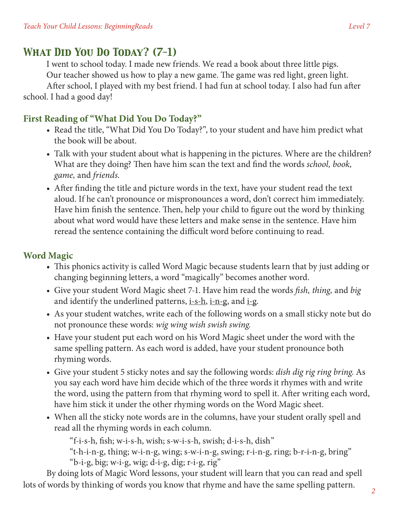# *What Did You Do Today? (7-1)*

I went to school today. I made new friends. We read a book about three little pigs. Our teacher showed us how to play a new game. The game was red light, green light.

After school, I played with my best friend. I had fun at school today. I also had fun after school. I had a good day!

#### **First Reading of "What Did You Do Today?"**

- Read the title, "What Did You Do Today?", to your student and have him predict what the book will be about.
- Talk with your student about what is happening in the pictures. Where are the children? What are they doing? Then have him scan the text and find the words *school, book, game,* and *friends*.
- After finding the title and picture words in the text, have your student read the text aloud. If he can't pronounce or mispronounces a word, don't correct him immediately. Have him finish the sentence. Then, help your child to figure out the word by thinking about what word would have these letters and make sense in the sentence. Have him reread the sentence containing the difficult word before continuing to read.

## **Word Magic**

- This phonics activity is called Word Magic because students learn that by just adding or changing beginning letters, a word "magically" becomes another word.
- • Give your student Word Magic sheet 7-1. Have him read the words *fish, thing,* and *big* and identify the underlined patterns,  $i-s-h$ ,  $i-n-g$ , and  $i-g$ .
- As your student watches, write each of the following words on a small sticky note but do not pronounce these words: *wig wing wish swish swing.*
- Have your student put each word on his Word Magic sheet under the word with the same spelling pattern. As each word is added, have your student pronounce both rhyming words.
- • Give your student 5 sticky notes and say the following words: *dish dig rig ring bring*. As you say each word have him decide which of the three words it rhymes with and write the word, using the pattern from that rhyming word to spell it. After writing each word, have him stick it under the other rhyming words on the Word Magic sheet.
- When all the sticky note words are in the columns, have your student orally spell and read all the rhyming words in each column.

"f-i-s-h, fish; w-i-s-h, wish; s-w-i-s-h, swish; d-i-s-h, dish"

"t-h-i-n-g, thing; w-i-n-g, wing; s-w-i-n-g, swing; r-i-n-g, ring; b-r-i-n-g, bring"

"b-i-g, big; w-i-g, wig; d-i-g, dig; r-i-g, rig"

By doing lots of Magic Word lessons, your student will learn that you can read and spell lots of words by thinking of words you know that rhyme and have the same spelling pattern.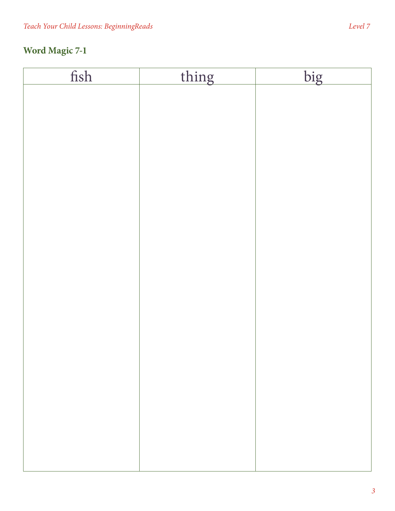| fish | thing | big |
|------|-------|-----|
|      |       |     |
|      |       |     |
|      |       |     |
|      |       |     |
|      |       |     |
|      |       |     |
|      |       |     |
|      |       |     |
|      |       |     |
|      |       |     |
|      |       |     |
|      |       |     |
|      |       |     |
|      |       |     |
|      |       |     |
|      |       |     |
|      |       |     |
|      |       |     |
|      |       |     |
|      |       |     |
|      |       |     |
|      |       |     |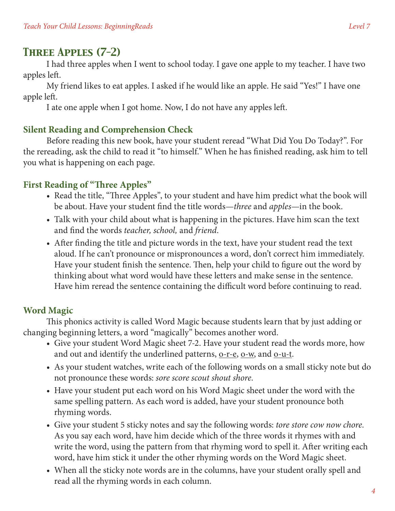# *Three Apples (7-2)*

I had three apples when I went to school today. I gave one apple to my teacher. I have two apples left.

My friend likes to eat apples. I asked if he would like an apple. He said "Yes!" I have one apple left.

I ate one apple when I got home. Now, I do not have any apples left.

#### **Silent Reading and Comprehension Check**

Before reading this new book, have your student reread "What Did You Do Today?". For the rereading, ask the child to read it "to himself." When he has finished reading, ask him to tell you what is happening on each page.

## **First Reading of "Three Apples"**

- Read the title, "Three Apples", to your student and have him predict what the book will be about. Have your student find the title words—*three* and *apples*—in the book.
- Talk with your child about what is happening in the pictures. Have him scan the text and find the words *teacher, school,* and *friend*.
- After finding the title and picture words in the text, have your student read the text aloud. If he can't pronounce or mispronounces a word, don't correct him immediately. Have your student finish the sentence. Then, help your child to figure out the word by thinking about what word would have these letters and make sense in the sentence. Have him reread the sentence containing the difficult word before continuing to read.

## **Word Magic**

This phonics activity is called Word Magic because students learn that by just adding or changing beginning letters, a word "magically" becomes another word.

- Give your student Word Magic sheet 7-2. Have your student read the words more, how and out and identify the underlined patterns,  $Q-r-e$ ,  $Q-w$ , and  $Q-u-t$ .
- As your student watches, write each of the following words on a small sticky note but do not pronounce these words: *sore score scout shout shore.*
- Have your student put each word on his Word Magic sheet under the word with the same spelling pattern. As each word is added, have your student pronounce both rhyming words.
- • Give your student 5 sticky notes and say the following words: *tore store cow now chore.* As you say each word, have him decide which of the three words it rhymes with and write the word, using the pattern from that rhyming word to spell it. After writing each word, have him stick it under the other rhyming words on the Word Magic sheet.
- When all the sticky note words are in the columns, have your student orally spell and read all the rhyming words in each column.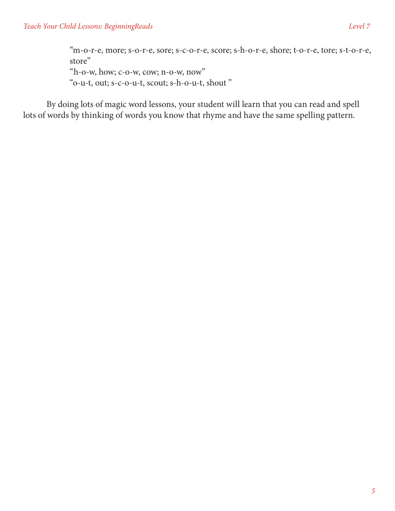"m-o-r-e, more; s-o-r-e, sore; s-c-o-r-e, score; s-h-o-r-e, shore; t-o-r-e, tore; s-t-o-r-e, store" "h-o-w, how; c-o-w, cow; n-o-w, now" "o-u-t, out; s-c-o-u-t, scout; s-h-o-u-t, shout "

By doing lots of magic word lessons, your student will learn that you can read and spell lots of words by thinking of words you know that rhyme and have the same spelling pattern.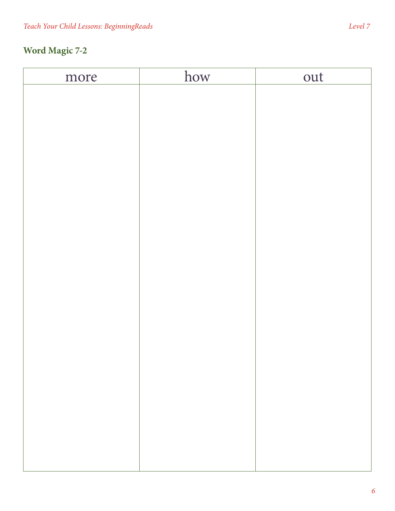| more | how | out |
|------|-----|-----|
|      |     |     |
|      |     |     |
|      |     |     |
|      |     |     |
|      |     |     |
|      |     |     |
|      |     |     |
|      |     |     |
|      |     |     |
|      |     |     |
|      |     |     |
|      |     |     |
|      |     |     |
|      |     |     |
|      |     |     |
|      |     |     |
|      |     |     |
|      |     |     |
|      |     |     |
|      |     |     |
|      |     |     |
|      |     |     |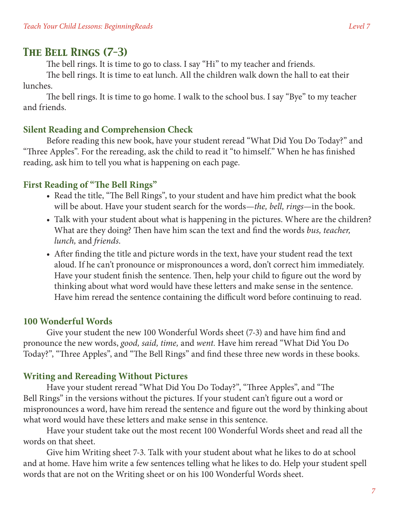## *The Bell Rings (7-3)*

The bell rings. It is time to go to class. I say "Hi" to my teacher and friends.

The bell rings. It is time to eat lunch. All the children walk down the hall to eat their lunches.

The bell rings. It is time to go home. I walk to the school bus. I say "Bye" to my teacher and friends.

#### **Silent Reading and Comprehension Check**

Before reading this new book, have your student reread "What Did You Do Today?" and "Three Apples". For the rereading, ask the child to read it "to himself." When he has finished reading, ask him to tell you what is happening on each page.

#### **First Reading of "The Bell Rings"**

- Read the title, "The Bell Rings", to your student and have him predict what the book will be about. Have your student search for the words—*the, bell, rings*—in the book.
- Talk with your student about what is happening in the pictures. Where are the children? What are they doing? Then have him scan the text and find the words *bus, teacher, lunch,* and *friends*.
- After finding the title and picture words in the text, have your student read the text aloud. If he can't pronounce or mispronounces a word, don't correct him immediately. Have your student finish the sentence. Then, help your child to figure out the word by thinking about what word would have these letters and make sense in the sentence. Have him reread the sentence containing the difficult word before continuing to read.

#### **100 Wonderful Words**

Give your student the new 100 Wonderful Words sheet (7-3) and have him find and pronounce the new words, *good, said, time,* and *went.* Have him reread "What Did You Do Today?", "Three Apples", and "The Bell Rings" and find these three new words in these books.

#### **Writing and Rereading Without Pictures**

Have your student reread "What Did You Do Today?", "Three Apples", and "The Bell Rings" in the versions without the pictures. If your student can't figure out a word or mispronounces a word, have him reread the sentence and figure out the word by thinking about what word would have these letters and make sense in this sentence.

Have your student take out the most recent 100 Wonderful Words sheet and read all the words on that sheet.

Give him Writing sheet 7-3. Talk with your student about what he likes to do at school and at home. Have him write a few sentences telling what he likes to do. Help your student spell words that are not on the Writing sheet or on his 100 Wonderful Words sheet.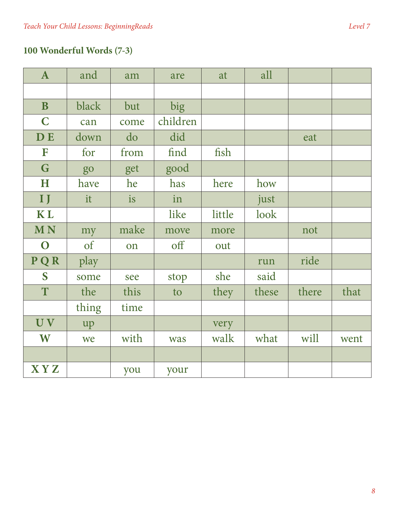# **100 Wonderful Words (7-3)**

| $\mathbf{A}$ | and   | am   | are      | at     | all   |       |      |
|--------------|-------|------|----------|--------|-------|-------|------|
|              |       |      |          |        |       |       |      |
| $\mathbf{B}$ | black | but  | big      |        |       |       |      |
| $\mathbf C$  | can   | come | children |        |       |       |      |
| <b>DE</b>    | down  | do   | did      |        |       | eat   |      |
| $\mathbf F$  | for   | from | find     | fish   |       |       |      |
| G            | go    | get  | good     |        |       |       |      |
| H            | have  | he   | has      | here   | how   |       |      |
| $\mathbf{I}$ | it    | is   | in       |        | just  |       |      |
| <b>KL</b>    |       |      | like     | little | look  |       |      |
|              |       |      |          |        |       |       |      |
| <b>MN</b>    | my    | make | move     | more   |       | not   |      |
| $\mathbf O$  | of    | on   | off      | out    |       |       |      |
| PQR          | play  |      |          |        | run   | ride  |      |
| S            | some  | see  | stop     | she    | said  |       |      |
| T            | the   | this | to       | they   | these | there | that |
|              | thing | time |          |        |       |       |      |
| UV           | up    |      |          | very   |       |       |      |
| W            | we    | with | was      | walk   | what  | will  | went |
|              |       |      |          |        |       |       |      |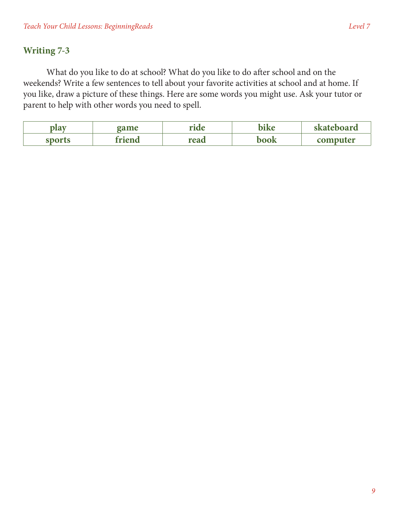### **Writing 7-3**

What do you like to do at school? What do you like to do after school and on the weekends? Write a few sentences to tell about your favorite activities at school and at home. If you like, draw a picture of these things. Here are some words you might use. Ask your tutor or parent to help with other words you need to spell.

| <b>BLOT</b> | game | us i<br>Л0 | - 61<br>$r_{\alpha}$ | teboard  |
|-------------|------|------------|----------------------|----------|
| enarte      | M    | read       | book                 | computer |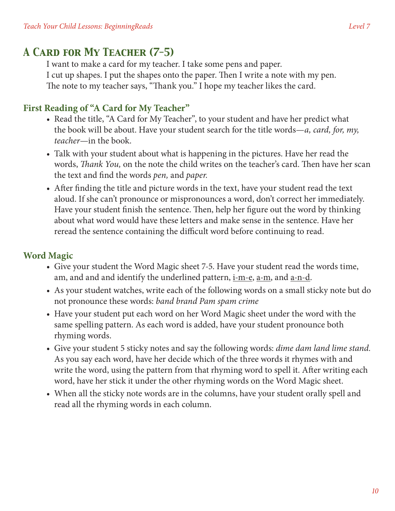# *A Card for My Teacher (7-5)*

I want to make a card for my teacher. I take some pens and paper. I cut up shapes. I put the shapes onto the paper. Then I write a note with my pen. The note to my teacher says, "Thank you." I hope my teacher likes the card.

## **First Reading of "A Card for My Teacher"**

- Read the title, "A Card for My Teacher", to your student and have her predict what the book will be about. Have your student search for the title words—*a, card, for, my, teacher*—in the book.
- Talk with your student about what is happening in the pictures. Have her read the words, *Thank You,* on the note the child writes on the teacher's card. Then have her scan the text and find the words *pen,* and *paper.*
- After finding the title and picture words in the text, have your student read the text aloud. If she can't pronounce or mispronounces a word, don't correct her immediately. Have your student finish the sentence. Then, help her figure out the word by thinking about what word would have these letters and make sense in the sentence. Have her reread the sentence containing the difficult word before continuing to read.

## **Word Magic**

- Give your student the Word Magic sheet 7-5. Have your student read the words time, am, and and and identify the underlined pattern, i-m-e, a-m, and a-n-d.
- As your student watches, write each of the following words on a small sticky note but do not pronounce these words: *band brand Pam spam crime*
- Have your student put each word on her Word Magic sheet under the word with the same spelling pattern. As each word is added, have your student pronounce both rhyming words.
- • Give your student 5 sticky notes and say the following words: *dime dam land lime stand.*  As you say each word, have her decide which of the three words it rhymes with and write the word, using the pattern from that rhyming word to spell it. After writing each word, have her stick it under the other rhyming words on the Word Magic sheet.
- When all the sticky note words are in the columns, have your student orally spell and read all the rhyming words in each column.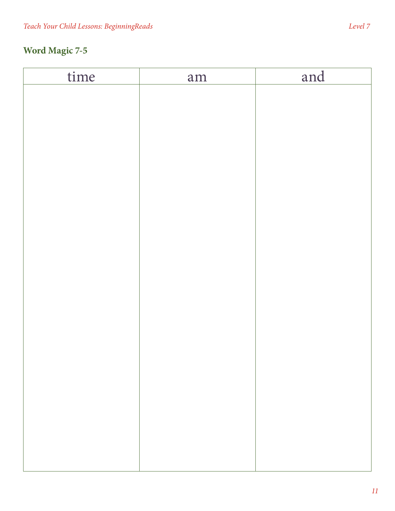# **Word Magic 7-5**

| time | am | and |
|------|----|-----|
|      |    |     |
|      |    |     |
|      |    |     |
|      |    |     |
|      |    |     |
|      |    |     |
|      |    |     |
|      |    |     |
|      |    |     |
|      |    |     |
|      |    |     |
|      |    |     |
|      |    |     |
|      |    |     |
|      |    |     |
|      |    |     |
|      |    |     |
|      |    |     |
|      |    |     |
|      |    |     |
|      |    |     |
|      |    |     |
|      |    |     |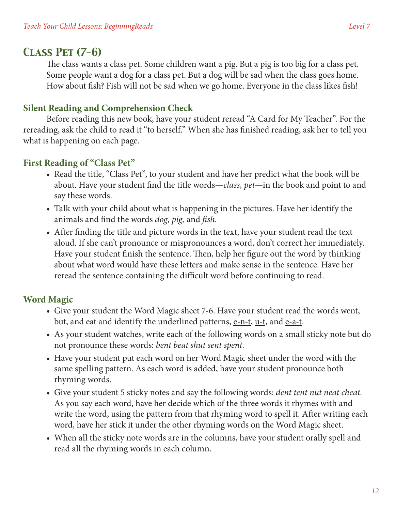## *Class Pet (7-6)*

The class wants a class pet. Some children want a pig. But a pig is too big for a class pet. Some people want a dog for a class pet. But a dog will be sad when the class goes home. How about fish? Fish will not be sad when we go home. Everyone in the class likes fish!

#### **Silent Reading and Comprehension Check**

Before reading this new book, have your student reread "A Card for My Teacher". For the rereading, ask the child to read it "to herself." When she has finished reading, ask her to tell you what is happening on each page.

#### **First Reading of "Class Pet"**

- Read the title, "Class Pet", to your student and have her predict what the book will be about. Have your student find the title words—*class, pet*—in the book and point to and say these words.
- Talk with your child about what is happening in the pictures. Have her identify the animals and find the words *dog, pig,* and *fish.*
- After finding the title and picture words in the text, have your student read the text aloud. If she can't pronounce or mispronounces a word, don't correct her immediately. Have your student finish the sentence. Then, help her figure out the word by thinking about what word would have these letters and make sense in the sentence. Have her reread the sentence containing the difficult word before continuing to read.

#### **Word Magic**

- Give your student the Word Magic sheet 7-6. Have your student read the words went, but, and eat and identify the underlined patterns,  $e$ -n-t,  $u$ -t, and  $e$ -a-t.
- As your student watches, write each of the following words on a small sticky note but do not pronounce these words: *bent beat shut sent spent.*
- Have your student put each word on her Word Magic sheet under the word with the same spelling pattern. As each word is added, have your student pronounce both rhyming words.
- • Give your student 5 sticky notes and say the following words: *dent tent nut neat cheat.* As you say each word, have her decide which of the three words it rhymes with and write the word, using the pattern from that rhyming word to spell it. After writing each word, have her stick it under the other rhyming words on the Word Magic sheet.
- When all the sticky note words are in the columns, have your student orally spell and read all the rhyming words in each column.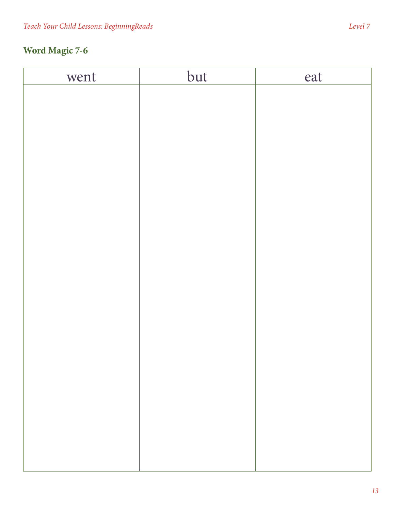# **Word Magic 7-6**

| went | but | eat |
|------|-----|-----|
|      |     |     |
|      |     |     |
|      |     |     |
|      |     |     |
|      |     |     |
|      |     |     |
|      |     |     |
|      |     |     |
|      |     |     |
|      |     |     |
|      |     |     |
|      |     |     |
|      |     |     |
|      |     |     |
|      |     |     |
|      |     |     |
|      |     |     |
|      |     |     |
|      |     |     |
|      |     |     |
|      |     |     |
|      |     |     |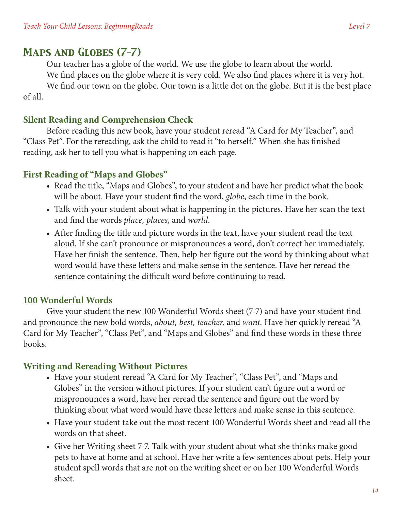## *Maps and Globes (7-7)*

Our teacher has a globe of the world. We use the globe to learn about the world. We find places on the globe where it is very cold. We also find places where it is very hot. We find our town on the globe. Our town is a little dot on the globe. But it is the best place

of all.

#### **Silent Reading and Comprehension Check**

Before reading this new book, have your student reread "A Card for My Teacher", and "Class Pet". For the rereading, ask the child to read it "to herself." When she has finished reading, ask her to tell you what is happening on each page.

#### **First Reading of "Maps and Globes"**

- Read the title, "Maps and Globes", to your student and have her predict what the book will be about. Have your student find the word, *globe*, each time in the book.
- Talk with your student about what is happening in the pictures. Have her scan the text and find the words *place, places,* and *world.*
- After finding the title and picture words in the text, have your student read the text aloud. If she can't pronounce or mispronounces a word, don't correct her immediately. Have her finish the sentence. Then, help her figure out the word by thinking about what word would have these letters and make sense in the sentence. Have her reread the sentence containing the difficult word before continuing to read.

## **100 Wonderful Words**

Give your student the new 100 Wonderful Words sheet (7-7) and have your student find and pronounce the new bold words, *about, best, teacher,* and *want.* Have her quickly reread "A Card for My Teacher", "Class Pet", and "Maps and Globes" and find these words in these three books.

#### **Writing and Rereading Without Pictures**

- Have your student reread "A Card for My Teacher", "Class Pet", and "Maps and Globes" in the version without pictures. If your student can't figure out a word or mispronounces a word, have her reread the sentence and figure out the word by thinking about what word would have these letters and make sense in this sentence.
- Have your student take out the most recent 100 Wonderful Words sheet and read all the words on that sheet.
- Give her Writing sheet 7-7. Talk with your student about what she thinks make good pets to have at home and at school. Have her write a few sentences about pets. Help your student spell words that are not on the writing sheet or on her 100 Wonderful Words sheet.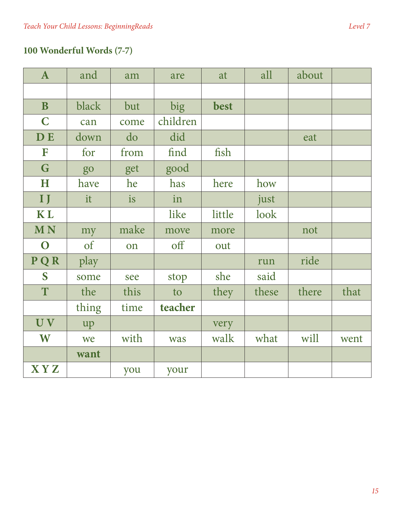# **100 Wonderful Words (7-7)**

| $\mathbf{A}$   | and   | am   | are      | at     | all   | about |      |
|----------------|-------|------|----------|--------|-------|-------|------|
|                |       |      |          |        |       |       |      |
| $\mathbf{B}$   | black | but  | big      | best   |       |       |      |
| $\mathbf C$    | can   | come | children |        |       |       |      |
| <b>DE</b>      | down  | do   | did      |        |       | eat   |      |
| F              | for   | from | find     | fish   |       |       |      |
| G              | go    | get  | good     |        |       |       |      |
| H              | have  | he   | has      | here   | how   |       |      |
| $\mathbf{I}$   | it    | is   | in       |        | just  |       |      |
| <b>KL</b>      |       |      | like     | little | look  |       |      |
|                |       |      |          |        |       |       |      |
| <b>MN</b>      | my    | make | move     | more   |       | not   |      |
| $\mathbf O$    | of    | on   | off      | out    |       |       |      |
| PQR            | play  |      |          |        | run   | ride  |      |
| S              | some  | see  | stop     | she    | said  |       |      |
| T              | the   | this | to       | they   | these | there | that |
|                | thing | time | teacher  |        |       |       |      |
| UV <sub></sub> | up    |      |          | very   |       |       |      |
| W              | we    | with | was      | walk   | what  | will  | went |
|                | want  |      |          |        |       |       |      |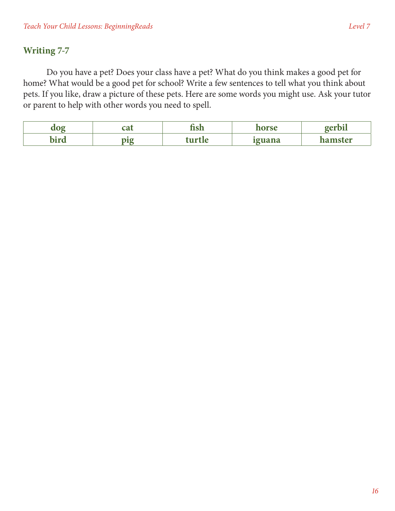## **Writing 7-7**

Do you have a pet? Does your class have a pet? What do you think makes a good pet for home? What would be a good pet for school? Write a few sentences to tell what you think about pets. If you like, draw a picture of these pets. Here are some words you might use. Ask your tutor or parent to help with other words you need to spell.

| $\sim$ | ÎЛ<br> | $\sim$   | <b>DEC0</b> | . .<br>$\sim$ $\sim$ $\sim$ $\sim$ $\sim$ |
|--------|--------|----------|-------------|-------------------------------------------|
| 1146   | nıæ    | 11 и 1 а | minang<br>  | ımster                                    |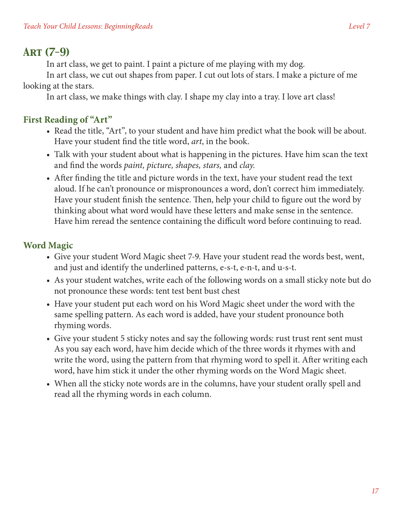# *Art (7-9)*

In art class, we get to paint. I paint a picture of me playing with my dog.

In art class, we cut out shapes from paper. I cut out lots of stars. I make a picture of me looking at the stars.

In art class, we make things with clay. I shape my clay into a tray. I love art class!

# **First Reading of "Art"**

- Read the title, "Art", to your student and have him predict what the book will be about. Have your student find the title word, *art*, in the book.
- Talk with your student about what is happening in the pictures. Have him scan the text and find the words *paint, picture, shapes, stars,* and *clay.*
- After finding the title and picture words in the text, have your student read the text aloud. If he can't pronounce or mispronounces a word, don't correct him immediately. Have your student finish the sentence. Then, help your child to figure out the word by thinking about what word would have these letters and make sense in the sentence. Have him reread the sentence containing the difficult word before continuing to read.

# **Word Magic**

- Give your student Word Magic sheet 7-9. Have your student read the words best, went, and just and identify the underlined patterns, e-s-t, e-n-t, and u-s-t.
- As your student watches, write each of the following words on a small sticky note but do not pronounce these words: tent test bent bust chest
- Have your student put each word on his Word Magic sheet under the word with the same spelling pattern. As each word is added, have your student pronounce both rhyming words.
- Give your student 5 sticky notes and say the following words: rust trust rent sent must As you say each word, have him decide which of the three words it rhymes with and write the word, using the pattern from that rhyming word to spell it. After writing each word, have him stick it under the other rhyming words on the Word Magic sheet.
- When all the sticky note words are in the columns, have your student orally spell and read all the rhyming words in each column.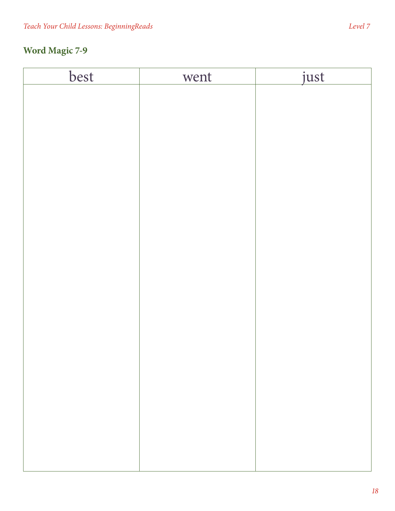# **Word Magic 7-9**

| best | went | just |
|------|------|------|
|      |      |      |
|      |      |      |
|      |      |      |
|      |      |      |
|      |      |      |
|      |      |      |
|      |      |      |
|      |      |      |
|      |      |      |
|      |      |      |
|      |      |      |
|      |      |      |
|      |      |      |
|      |      |      |
|      |      |      |
|      |      |      |
|      |      |      |
|      |      |      |
|      |      |      |
|      |      |      |
|      |      |      |
|      |      |      |
|      |      |      |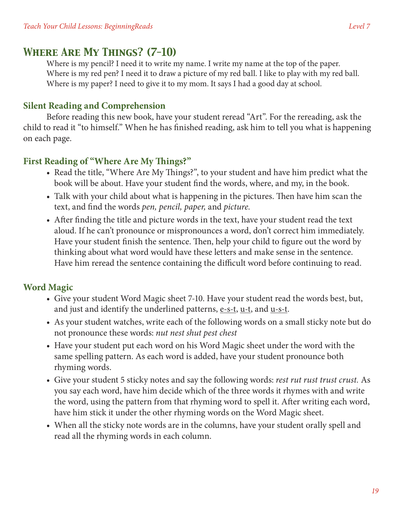## *Where Are My Things? (7-10)*

Where is my pencil? I need it to write my name. I write my name at the top of the paper. Where is my red pen? I need it to draw a picture of my red ball. I like to play with my red ball. Where is my paper? I need to give it to my mom. It says I had a good day at school.

#### **Silent Reading and Comprehension**

Before reading this new book, have your student reread "Art". For the rereading, ask the child to read it "to himself." When he has finished reading, ask him to tell you what is happening on each page.

#### **First Reading of "Where Are My Things?"**

- Read the title, "Where Are My Things?", to your student and have him predict what the book will be about. Have your student find the words, where, and my, in the book.
- Talk with your child about what is happening in the pictures. Then have him scan the text, and find the words *pen, pencil, paper,* and *picture.*
- After finding the title and picture words in the text, have your student read the text aloud. If he can't pronounce or mispronounces a word, don't correct him immediately. Have your student finish the sentence. Then, help your child to figure out the word by thinking about what word would have these letters and make sense in the sentence. Have him reread the sentence containing the difficult word before continuing to read.

## **Word Magic**

- Give your student Word Magic sheet 7-10. Have your student read the words best, but, and just and identify the underlined patterns, e-s-t, u-t, and u-s-t.
- As your student watches, write each of the following words on a small sticky note but do not pronounce these words: *nut nest shut pest chest*
- Have your student put each word on his Word Magic sheet under the word with the same spelling pattern. As each word is added, have your student pronounce both rhyming words.
- • Give your student 5 sticky notes and say the following words: *rest rut rust trust crust.* As you say each word, have him decide which of the three words it rhymes with and write the word, using the pattern from that rhyming word to spell it. After writing each word, have him stick it under the other rhyming words on the Word Magic sheet.
- When all the sticky note words are in the columns, have your student orally spell and read all the rhyming words in each column.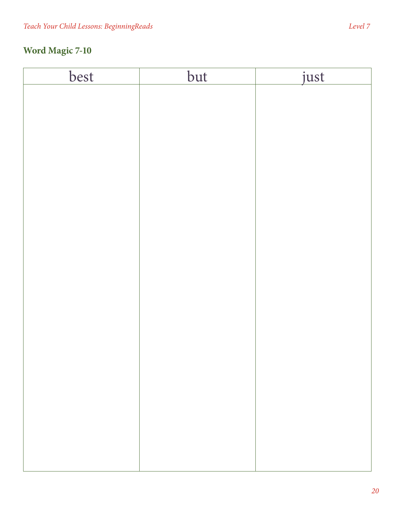# **Word Magic 7-10**

| best | but | just |
|------|-----|------|
|      |     |      |
|      |     |      |
|      |     |      |
|      |     |      |
|      |     |      |
|      |     |      |
|      |     |      |
|      |     |      |
|      |     |      |
|      |     |      |
|      |     |      |
|      |     |      |
|      |     |      |
|      |     |      |
|      |     |      |
|      |     |      |
|      |     |      |
|      |     |      |
|      |     |      |
|      |     |      |
|      |     |      |
|      |     |      |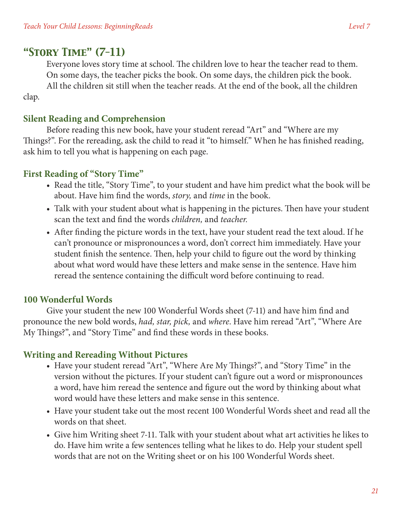# *"Story Time" (7-11)*

clap.

Everyone loves story time at school. The children love to hear the teacher read to them. On some days, the teacher picks the book. On some days, the children pick the book. All the children sit still when the teacher reads. At the end of the book, all the children

#### **Silent Reading and Comprehension**

Before reading this new book, have your student reread "Art" and "Where are my Things?". For the rereading, ask the child to read it "to himself." When he has finished reading, ask him to tell you what is happening on each page.

#### **First Reading of "Story Time"**

- Read the title, "Story Time", to your student and have him predict what the book will be about. Have him find the words, *story,* and *time* in the book.
- Talk with your student about what is happening in the pictures. Then have your student scan the text and find the words *children,* and *teacher.*
- After finding the picture words in the text, have your student read the text aloud. If he can't pronounce or mispronounces a word, don't correct him immediately. Have your student finish the sentence. Then, help your child to figure out the word by thinking about what word would have these letters and make sense in the sentence. Have him reread the sentence containing the difficult word before continuing to read.

#### **100 Wonderful Words**

Give your student the new 100 Wonderful Words sheet (7-11) and have him find and pronounce the new bold words, *had, star, pick,* and *where*. Have him reread "Art", "Where Are My Things?", and "Story Time" and find these words in these books.

#### **Writing and Rereading Without Pictures**

- Have your student reread "Art", "Where Are My Things?", and "Story Time" in the version without the pictures. If your student can't figure out a word or mispronounces a word, have him reread the sentence and figure out the word by thinking about what word would have these letters and make sense in this sentence.
- Have your student take out the most recent 100 Wonderful Words sheet and read all the words on that sheet.
- Give him Writing sheet 7-11. Talk with your student about what art activities he likes to do. Have him write a few sentences telling what he likes to do. Help your student spell words that are not on the Writing sheet or on his 100 Wonderful Words sheet.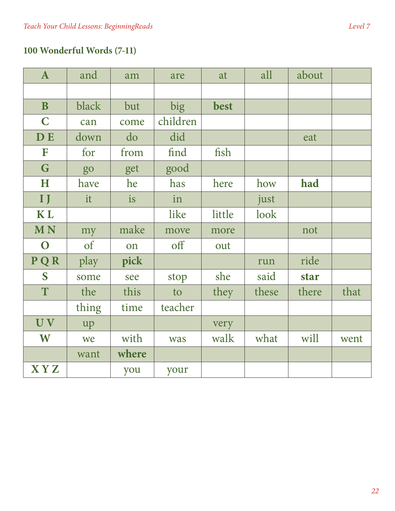# **100 Wonderful Words (7-11)**

| $\mathbf{A}$ | and   | am    | are      | at     | all   | about       |      |
|--------------|-------|-------|----------|--------|-------|-------------|------|
|              |       |       |          |        |       |             |      |
| $\mathbf{B}$ | black | but   | big      | best   |       |             |      |
| $\mathbf C$  | can   | come  | children |        |       |             |      |
| <b>DE</b>    | down  | do    | did      |        |       | eat         |      |
| F            | for   | from  | find     | fish   |       |             |      |
| G            | go    | get   | good     |        |       |             |      |
| H            | have  | he    | has      | here   | how   | had         |      |
| IJ           | it    | is    | in       |        | just  |             |      |
| <b>KL</b>    |       |       | like     | little | look  |             |      |
| <b>MN</b>    | my    | make  | move     | more   |       | not         |      |
|              |       |       |          |        |       |             |      |
| $\mathbf O$  | of    | on    | off      | out    |       |             |      |
| PQR          | play  | pick  |          |        | run   | ride        |      |
| S            | some  | see   | stop     | she    | said  | <b>star</b> |      |
| T            | the   | this  | to       | they   | these | there       | that |
|              | thing | time  | teacher  |        |       |             |      |
| UV           | up    |       |          | very   |       |             |      |
| W            | we    | with  | was      | walk   | what  | will        | went |
|              | want  | where |          |        |       |             |      |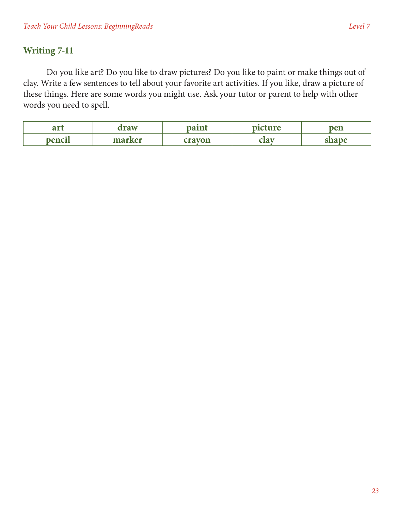### **Writing 7-11**

Do you like art? Do you like to draw pictures? Do you like to paint or make things out of clay. Write a few sentences to tell about your favorite art activities. If you like, draw a picture of these things. Here are some words you might use. Ask your tutor or parent to help with other words you need to spell.

| $\mathbf{u}$<br>ar c | PO TAT                                           | $\sim$ $\sim$ $\sim$<br> | 110<br>$\overline{\phantom{a}}$ | pen                 |
|----------------------|--------------------------------------------------|--------------------------|---------------------------------|---------------------|
| $n$ anci<br>דראו     | mo<br>$r$ <i>r</i> $\alpha$ <sup>r</sup><br>---- | лі<br>---                | ыи                              | 330<br><b>DILLE</b> |